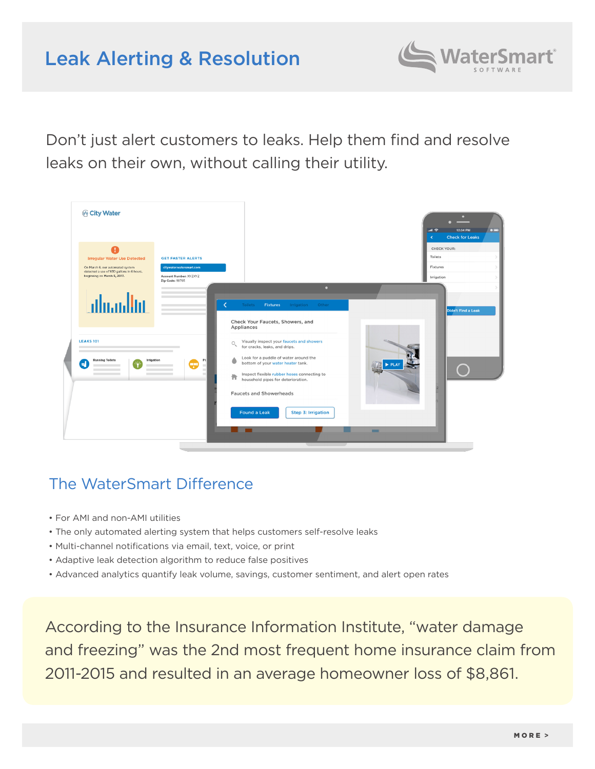# Leak Alerting & Resolution



Don't just alert customers to leaks. Help them find and resolve leaks on their own, without calling their utility.



## The WaterSmart Difference

- For AMI and non-AMI utilities
- The only automated alerting system that helps customers self-resolve leaks
- Multi-channel notifications via email, text, voice, or print
- Adaptive leak detection algorithm to reduce false positives
- Advanced analytics quantify leak volume, savings, customer sentiment, and alert open rates

According to the Insurance Information Institute, "water damage and freezing" was the 2nd most frequent home insurance claim from 2011-2015 and resulted in an average homeowner loss of \$8,861.